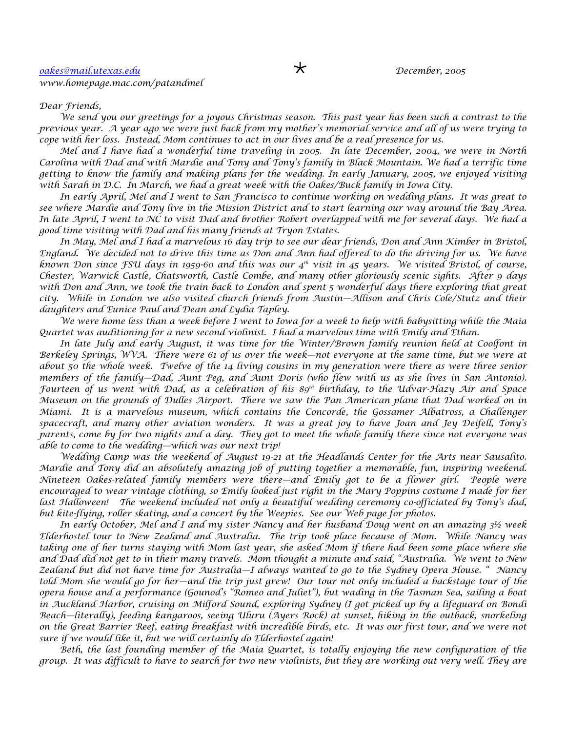## *Dear Friends,*

*We send you our greetings for a joyous Christmas season. This past year has been such a contrast to the previous year. A year ago we were just back from my mother's memorial service and all of us were trying to cope with her loss. Instead, Mom continues to act in our lives and be a real presence for us.*

*Mel and I have had a wonderful time traveling in 2005. In late December, 2004, we were in North Carolina with Dad and with Mardie and Tony and Tony's family in Black Mountain. We had a terrific time getting to know the family and making plans for the wedding. In early January, 2005, we enjoyed visiting with Sarah in D.C. In March, we had a great week with the Oakes/Buck family in Iowa City.*

*In early April, Mel and I went to San Francisco to continue working on wedding plans. It was great to see where Mardie and Tony live in the Mission District and to start learning our way around the Bay Area. In late April, I went to NC to visit Dad and brother Robert overlapped with me for several days. We had a good time visiting with Dad and his many friends at Tryon Estates.*

*In May, Mel and I had a marvelous 16 day trip to see our dear friends, Don and Ann Kimber in Bristol, England. We decided not to drive this time as Don and Ann had offered to do the driving for us. We have known Don since FSU days in 1959-60 and this was our 4th visit in 45 years. We visited Bristol, of course, Chester, Warwick Castle, Chatsworth, Castle Combe, and many other gloriously scenic sights. After 9 days with Don and Ann, we took the train back to London and spent 5 wonderful days there exploring that great city. While in London we also visited church friends from Austin—Allison and Chris Cole/Stutz and their daughters and Eunice Paul and Dean and Lydia Tapley.*

*We were home less than a week before I went to Iowa for a week to help with babysitting while the Maia Quartet was auditioning for a new second violinist. I had a marvelous time with Emily and Ethan.*

*In late July and early August, it was time for the Winter/Brown family reunion held at Coolfont in Berkeley Springs, WVA. There were 61 of us over the week—not everyone at the same time, but we were at about 50 the whole week. Twelve of the 14 living cousins in my generation were there as were three senior members of the family—Dad, Aunt Peg, and Aunt Doris (who flew with us as she lives in San Antonio). Fourteen of us went with Dad, as a celebration of his 89th birthday, to the Udvar-Hazy Air and Space Museum on the grounds of Dulles Airport. There we saw the Pan American plane that Dad worked on in Miami. It is a marvelous museum, which contains the Concorde, the Gossamer Albatross, a Challenger spacecraft, and many other aviation wonders. It was a great joy to have Joan and Jey Deifell, Tony's parents, come by for two nights and a day. They got to meet the whole family there since not everyone was able to come to the wedding—which was our next trip!*

*Wedding Camp was the weekend of August 19-21 at the Headlands Center for the Arts near Sausalito. Mardie and Tony did an absolutely amazing job of putting together a memorable, fun, inspiring weekend. Nineteen Oakes-related family members were there—and Emily got to be a flower girl. People were encouraged to wear vintage clothing, so Emily looked just right in the Mary Poppins costume I made for her last Halloween! The weekend included not only a beautiful wedding ceremony co-officiated by Tony's dad, but kite-flying, roller skating, and a concert by the Weepies. See our Web page for photos.*

*In early October, Mel and I and my sister Nancy and her husband Doug went on an amazing 3½ week Elderhostel tour to New Zealand and Australia. The trip took place because of Mom. While Nancy was taking one of her turns staying with Mom last year, she asked Mom if there had been some place where she and Dad did not get to in their many travels. Mom thought a minute and said, "Australia. We went to New Zealand but did not have time for Australia—I always wanted to go to the Sydney Opera House. " Nancy told Mom she would go for her—and the trip just grew! Our tour not only included a backstage tour of the opera house and a performance (Gounod's "Romeo and Juliet"), but wading in the Tasman Sea, sailing a boat in Auckland Harbor, cruising on Milford Sound, exploring Sydney (I got picked up by a lifeguard on Bondi Beach—literally), feeding kangaroos, seeing Uluru (Ayers Rock) at sunset, hiking in the outback, snorkeling on the Great Barrier Reef, eating breakfast with incredible birds, etc. It was our first tour, and we were not sure if we would like it, but we will certainly do Elderhostel again!*

*Beth, the last founding member of the Maia Quartet, is totally enjoying the new configuration of the group. It was difficult to have to search for two new violinists, but they are working out very well. They are*